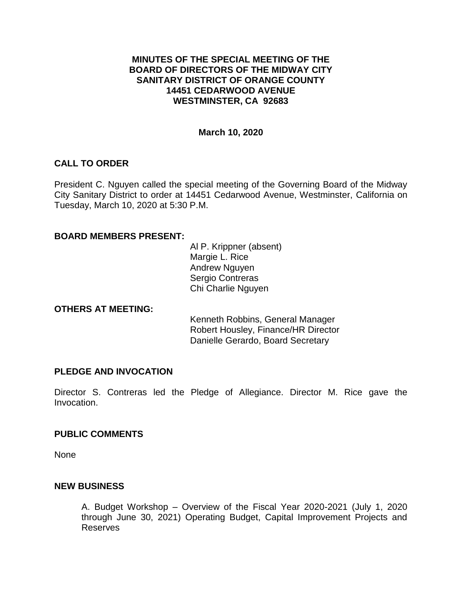## **MINUTES OF THE SPECIAL MEETING OF THE BOARD OF DIRECTORS OF THE MIDWAY CITY SANITARY DISTRICT OF ORANGE COUNTY 14451 CEDARWOOD AVENUE WESTMINSTER, CA 92683**

### **March 10, 2020**

## **CALL TO ORDER**

President C. Nguyen called the special meeting of the Governing Board of the Midway City Sanitary District to order at 14451 Cedarwood Avenue, Westminster, California on Tuesday, March 10, 2020 at 5:30 P.M.

## **BOARD MEMBERS PRESENT:**

Al P. Krippner (absent) Margie L. Rice Andrew Nguyen Sergio Contreras Chi Charlie Nguyen

#### **OTHERS AT MEETING:**

Kenneth Robbins, General Manager Robert Housley, Finance/HR Director Danielle Gerardo, Board Secretary

#### **PLEDGE AND INVOCATION**

Director S. Contreras led the Pledge of Allegiance. Director M. Rice gave the Invocation.

#### **PUBLIC COMMENTS**

None

#### **NEW BUSINESS**

A. Budget Workshop – Overview of the Fiscal Year 2020-2021 (July 1, 2020 through June 30, 2021) Operating Budget, Capital Improvement Projects and Reserves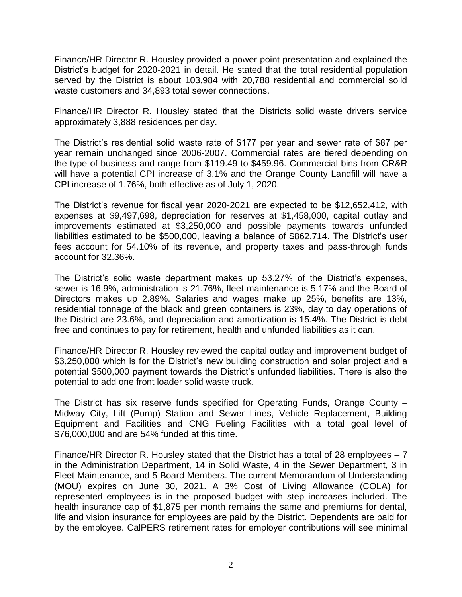Finance/HR Director R. Housley provided a power-point presentation and explained the District's budget for 2020-2021 in detail. He stated that the total residential population served by the District is about 103,984 with 20,788 residential and commercial solid waste customers and 34,893 total sewer connections.

Finance/HR Director R. Housley stated that the Districts solid waste drivers service approximately 3,888 residences per day.

The District's residential solid waste rate of \$177 per year and sewer rate of \$87 per year remain unchanged since 2006-2007. Commercial rates are tiered depending on the type of business and range from \$119.49 to \$459.96. Commercial bins from CR&R will have a potential CPI increase of 3.1% and the Orange County Landfill will have a CPI increase of 1.76%, both effective as of July 1, 2020.

The District's revenue for fiscal year 2020-2021 are expected to be \$12,652,412, with expenses at \$9,497,698, depreciation for reserves at \$1,458,000, capital outlay and improvements estimated at \$3,250,000 and possible payments towards unfunded liabilities estimated to be \$500,000, leaving a balance of \$862,714. The District's user fees account for 54.10% of its revenue, and property taxes and pass-through funds account for 32.36%.

The District's solid waste department makes up 53.27% of the District's expenses, sewer is 16.9%, administration is 21.76%, fleet maintenance is 5.17% and the Board of Directors makes up 2.89%. Salaries and wages make up 25%, benefits are 13%, residential tonnage of the black and green containers is 23%, day to day operations of the District are 23.6%, and depreciation and amortization is 15.4%. The District is debt free and continues to pay for retirement, health and unfunded liabilities as it can.

Finance/HR Director R. Housley reviewed the capital outlay and improvement budget of \$3,250,000 which is for the District's new building construction and solar project and a potential \$500,000 payment towards the District's unfunded liabilities. There is also the potential to add one front loader solid waste truck.

The District has six reserve funds specified for Operating Funds, Orange County – Midway City, Lift (Pump) Station and Sewer Lines, Vehicle Replacement, Building Equipment and Facilities and CNG Fueling Facilities with a total goal level of \$76,000,000 and are 54% funded at this time.

Finance/HR Director R. Housley stated that the District has a total of 28 employees  $-7$ in the Administration Department, 14 in Solid Waste, 4 in the Sewer Department, 3 in Fleet Maintenance, and 5 Board Members. The current Memorandum of Understanding (MOU) expires on June 30, 2021. A 3% Cost of Living Allowance (COLA) for represented employees is in the proposed budget with step increases included. The health insurance cap of \$1,875 per month remains the same and premiums for dental, life and vision insurance for employees are paid by the District. Dependents are paid for by the employee. CalPERS retirement rates for employer contributions will see minimal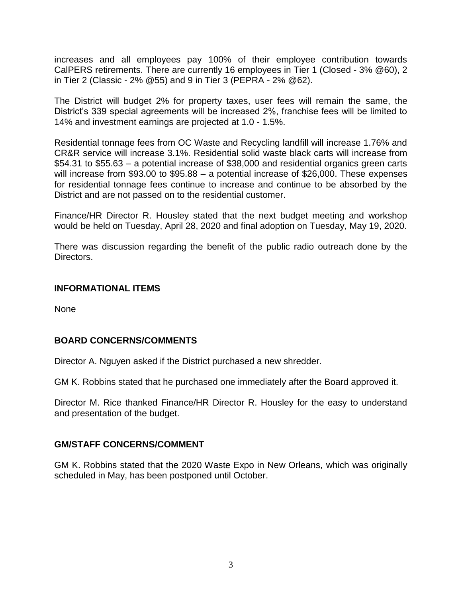increases and all employees pay 100% of their employee contribution towards CalPERS retirements. There are currently 16 employees in Tier 1 (Closed - 3% @60), 2 in Tier 2 (Classic - 2% @55) and 9 in Tier 3 (PEPRA - 2% @62).

The District will budget 2% for property taxes, user fees will remain the same, the District's 339 special agreements will be increased 2%, franchise fees will be limited to 14% and investment earnings are projected at 1.0 - 1.5%.

Residential tonnage fees from OC Waste and Recycling landfill will increase 1.76% and CR&R service will increase 3.1%. Residential solid waste black carts will increase from \$54.31 to \$55.63 – a potential increase of \$38,000 and residential organics green carts will increase from \$93.00 to \$95.88 – a potential increase of \$26,000. These expenses for residential tonnage fees continue to increase and continue to be absorbed by the District and are not passed on to the residential customer.

Finance/HR Director R. Housley stated that the next budget meeting and workshop would be held on Tuesday, April 28, 2020 and final adoption on Tuesday, May 19, 2020.

There was discussion regarding the benefit of the public radio outreach done by the Directors.

## **INFORMATIONAL ITEMS**

None

## **BOARD CONCERNS/COMMENTS**

Director A. Nguyen asked if the District purchased a new shredder.

GM K. Robbins stated that he purchased one immediately after the Board approved it.

Director M. Rice thanked Finance/HR Director R. Housley for the easy to understand and presentation of the budget.

## **GM/STAFF CONCERNS/COMMENT**

GM K. Robbins stated that the 2020 Waste Expo in New Orleans, which was originally scheduled in May, has been postponed until October.